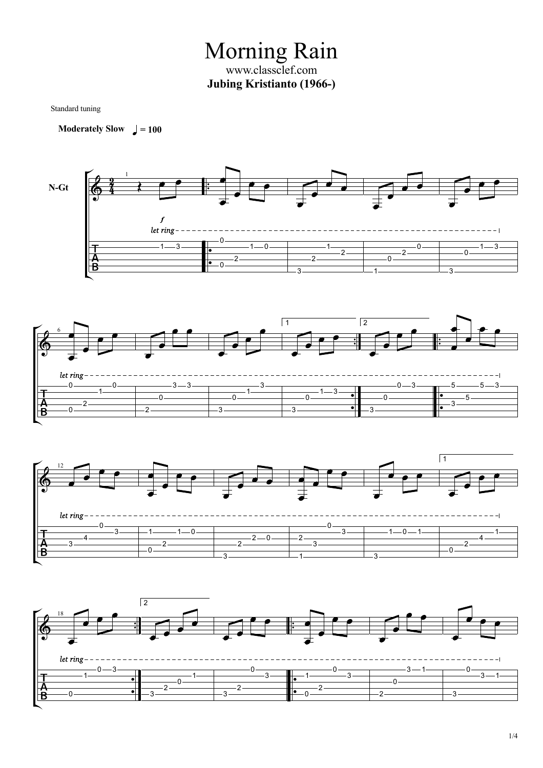Morning Rain www.classclef.com **Jubing Kristianto (1966-)**

Standard tuning

**Moderately Slow**  $\boldsymbol{\parallel} = 100$ 



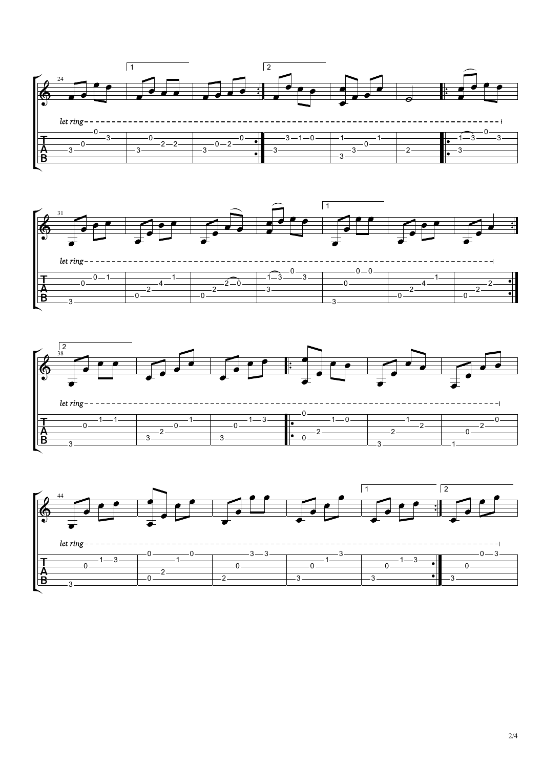





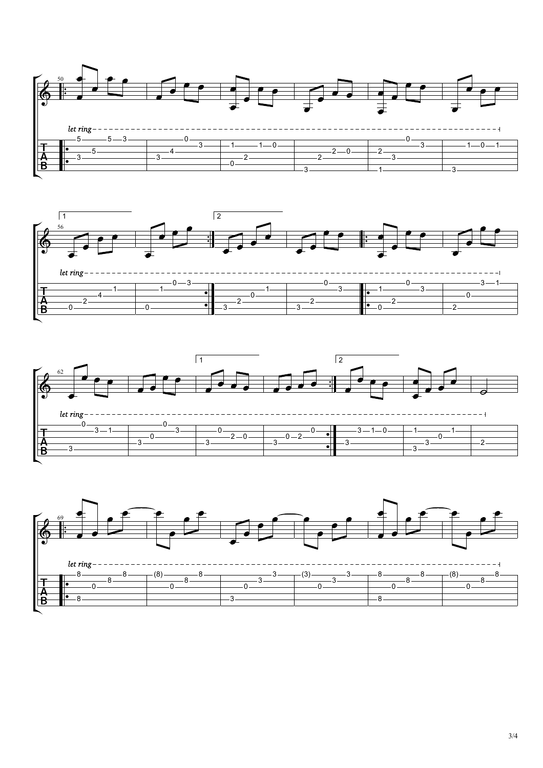